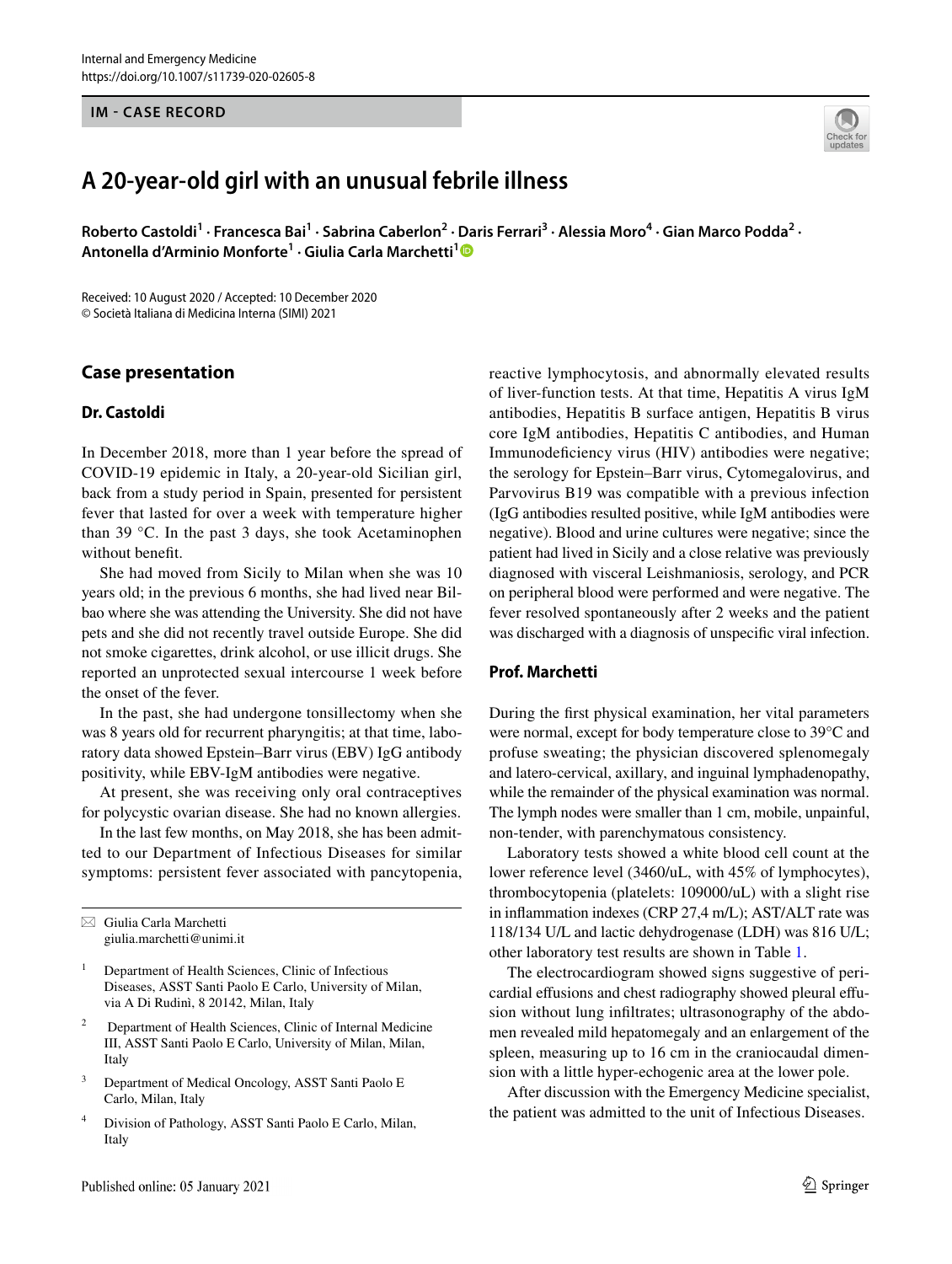## **IM - CASE RECORD**

# **A 20‑year‑old girl with an unusual febrile illness**

Roberto Castoldi<sup>1</sup> · Francesca Bai<sup>1</sup> · Sabrina Caberlon<sup>2</sup> · Daris Ferrari<sup>3</sup> · Alessia Moro<sup>4</sup> · Gian Marco Podda<sup>2</sup> · **Antonella d'Arminio Monforte1 · Giulia Carla Marchetti[1](http://orcid.org/0000-0002-4498-4828)**

Received: 10 August 2020 / Accepted: 10 December 2020 © Società Italiana di Medicina Interna (SIMI) 2021

## **Case presentation**

#### **Dr. Castoldi**

In December 2018, more than 1 year before the spread of COVID-19 epidemic in Italy, a 20-year-old Sicilian girl, back from a study period in Spain, presented for persistent fever that lasted for over a week with temperature higher than 39 °C. In the past 3 days, she took Acetaminophen without beneft.

She had moved from Sicily to Milan when she was 10 years old; in the previous 6 months, she had lived near Bilbao where she was attending the University. She did not have pets and she did not recently travel outside Europe. She did not smoke cigarettes, drink alcohol, or use illicit drugs. She reported an unprotected sexual intercourse 1 week before the onset of the fever.

In the past, she had undergone tonsillectomy when she was 8 years old for recurrent pharyngitis; at that time, laboratory data showed Epstein–Barr virus (EBV) IgG antibody positivity, while EBV-IgM antibodies were negative.

At present, she was receiving only oral contraceptives for polycystic ovarian disease. She had no known allergies.

In the last few months, on May 2018, she has been admitted to our Department of Infectious Diseases for similar symptoms: persistent fever associated with pancytopenia,

 $\boxtimes$  Giulia Carla Marchetti giulia.marchetti@unimi.it

- <sup>1</sup> Department of Health Sciences, Clinic of Infectious Diseases, ASST Santi Paolo E Carlo, University of Milan, via A Di Rudinì, 8 20142, Milan, Italy
- 2 Department of Health Sciences, Clinic of Internal Medicine III, ASST Santi Paolo E Carlo, University of Milan, Milan, Italy
- <sup>3</sup> Department of Medical Oncology, ASST Santi Paolo E Carlo, Milan, Italy
- <sup>4</sup> Division of Pathology, ASST Santi Paolo E Carlo, Milan, Italy

reactive lymphocytosis, and abnormally elevated results of liver-function tests. At that time, Hepatitis A virus IgM antibodies, Hepatitis B surface antigen, Hepatitis B virus core IgM antibodies, Hepatitis C antibodies, and Human Immunodefciency virus (HIV) antibodies were negative; the serology for Epstein–Barr virus, Cytomegalovirus, and Parvovirus B19 was compatible with a previous infection (IgG antibodies resulted positive, while IgM antibodies were negative). Blood and urine cultures were negative; since the patient had lived in Sicily and a close relative was previously diagnosed with visceral Leishmaniosis, serology, and PCR on peripheral blood were performed and were negative. The fever resolved spontaneously after 2 weeks and the patient was discharged with a diagnosis of unspecifc viral infection.

#### **Prof. Marchetti**

During the frst physical examination, her vital parameters were normal, except for body temperature close to 39°C and profuse sweating; the physician discovered splenomegaly and latero-cervical, axillary, and inguinal lymphadenopathy, while the remainder of the physical examination was normal. The lymph nodes were smaller than 1 cm, mobile, unpainful, non-tender, with parenchymatous consistency.

Laboratory tests showed a white blood cell count at the lower reference level (3460/uL, with 45% of lymphocytes), thrombocytopenia (platelets: 109000/uL) with a slight rise in infammation indexes (CRP 27,4 m/L); AST/ALT rate was 118/134 U/L and lactic dehydrogenase (LDH) was 816 U/L; other laboratory test results are shown in Table [1.](#page-1-0)

The electrocardiogram showed signs suggestive of pericardial effusions and chest radiography showed pleural effusion without lung infltrates; ultrasonography of the abdomen revealed mild hepatomegaly and an enlargement of the spleen, measuring up to 16 cm in the craniocaudal dimension with a little hyper-echogenic area at the lower pole.

After discussion with the Emergency Medicine specialist, the patient was admitted to the unit of Infectious Diseases.

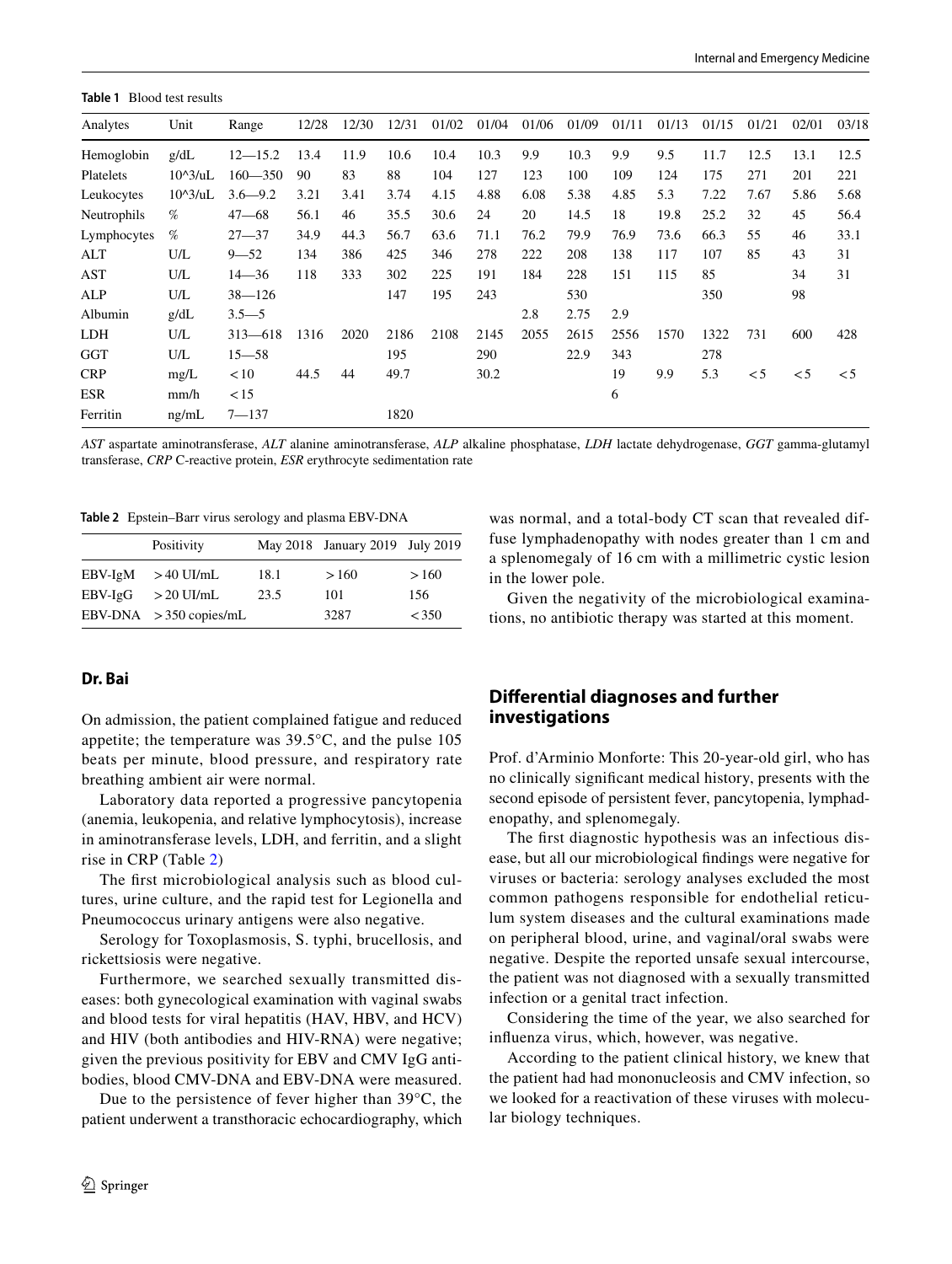<span id="page-1-0"></span>**Table 1** Blood test results

| Analytes    | Unit                      | Range       | 12/28 | 12/30 | 12/31 | 01/02 | 01/04 | 01/06 | 01/09 | 01/11 | 01/13 | 01/15 | 01/21    | 02/01    | 03/18    |
|-------------|---------------------------|-------------|-------|-------|-------|-------|-------|-------|-------|-------|-------|-------|----------|----------|----------|
| Hemoglobin  | g/dL                      | $12 - 15.2$ | 13.4  | 11.9  | 10.6  | 10.4  | 10.3  | 9.9   | 10.3  | 9.9   | 9.5   | 11.7  | 12.5     | 13.1     | 12.5     |
| Platelets   | $10^{\circ}3/\text{uL}$   | $160 - 350$ | 90    | 83    | 88    | 104   | 127   | 123   | 100   | 109   | 124   | 175   | 271      | 201      | 221      |
| Leukocytes  | $10^{\circ}3/\mathrm{uL}$ | $3.6 - 9.2$ | 3.21  | 3.41  | 3.74  | 4.15  | 4.88  | 6.08  | 5.38  | 4.85  | 5.3   | 7.22  | 7.67     | 5.86     | 5.68     |
| Neutrophils | %                         | $47 - 68$   | 56.1  | 46    | 35.5  | 30.6  | 24    | 20    | 14.5  | 18    | 19.8  | 25.2  | 32       | 45       | 56.4     |
| Lymphocytes | %                         | $27 - 37$   | 34.9  | 44.3  | 56.7  | 63.6  | 71.1  | 76.2  | 79.9  | 76.9  | 73.6  | 66.3  | 55       | 46       | 33.1     |
| ALT         | U/L                       | $9 - 52$    | 134   | 386   | 425   | 346   | 278   | 222   | 208   | 138   | 117   | 107   | 85       | 43       | 31       |
| AST         | U/L                       | $14 - 36$   | 118   | 333   | 302   | 225   | 191   | 184   | 228   | 151   | 115   | 85    |          | 34       | 31       |
| ALP         | U/L                       | $38 - 126$  |       |       | 147   | 195   | 243   |       | 530   |       |       | 350   |          | 98       |          |
| Albumin     | g/dL                      | $3.5 - 5$   |       |       |       |       |       | 2.8   | 2.75  | 2.9   |       |       |          |          |          |
| LDH         | U/L                       | $313 - 618$ | 1316  | 2020  | 2186  | 2108  | 2145  | 2055  | 2615  | 2556  | 1570  | 1322  | 731      | 600      | 428      |
| GGT         | U/L                       | $15 - 58$   |       |       | 195   |       | 290   |       | 22.9  | 343   |       | 278   |          |          |          |
| <b>CRP</b>  | mg/L                      | < 10        | 44.5  | 44    | 49.7  |       | 30.2  |       |       | 19    | 9.9   | 5.3   | $\leq 5$ | $\leq 5$ | $\leq 5$ |
| ESR         | mm/h                      | < 15        |       |       |       |       |       |       |       | 6     |       |       |          |          |          |
| Ferritin    | ng/mL                     | $7 - 137$   |       |       | 1820  |       |       |       |       |       |       |       |          |          |          |

*AST* aspartate aminotransferase, *ALT* alanine aminotransferase, *ALP* alkaline phosphatase, *LDH* lactate dehydrogenase, *GGT* gamma-glutamyl transferase, *CRP* C-reactive protein, *ESR* erythrocyte sedimentation rate

<span id="page-1-1"></span>**Table 2** Epstein–Barr virus serology and plasma EBV-DNA

|           | Positivity               |      | May 2018 January 2019 July 2019 |      |
|-----------|--------------------------|------|---------------------------------|------|
| EBV-IgM   | $>40$ UI/mL              | 18.1 | >160                            | >160 |
| $EBV-IgG$ | $>20$ UI/mL              | 23.5 | 101                             | 156  |
|           | EBV-DNA $>350$ copies/mL |      | 3287                            | <350 |

#### **Dr. Bai**

On admission, the patient complained fatigue and reduced appetite; the temperature was 39.5°C, and the pulse 105 beats per minute, blood pressure, and respiratory rate breathing ambient air were normal.

Laboratory data reported a progressive pancytopenia (anemia, leukopenia, and relative lymphocytosis), increase in aminotransferase levels, LDH, and ferritin, and a slight rise in CRP (Table [2](#page-1-1))

The frst microbiological analysis such as blood cultures, urine culture, and the rapid test for Legionella and Pneumococcus urinary antigens were also negative.

Serology for Toxoplasmosis, S. typhi, brucellosis, and rickettsiosis were negative.

Furthermore, we searched sexually transmitted diseases: both gynecological examination with vaginal swabs and blood tests for viral hepatitis (HAV, HBV, and HCV) and HIV (both antibodies and HIV-RNA) were negative; given the previous positivity for EBV and CMV IgG antibodies, blood CMV-DNA and EBV-DNA were measured.

Due to the persistence of fever higher than 39°C, the patient underwent a transthoracic echocardiography, which was normal, and a total-body CT scan that revealed diffuse lymphadenopathy with nodes greater than 1 cm and a splenomegaly of 16 cm with a millimetric cystic lesion in the lower pole.

Given the negativity of the microbiological examinations, no antibiotic therapy was started at this moment.

## **Diferential diagnoses and further investigations**

Prof. d'Arminio Monforte: This 20-year-old girl, who has no clinically signifcant medical history, presents with the second episode of persistent fever, pancytopenia, lymphadenopathy, and splenomegaly.

The frst diagnostic hypothesis was an infectious disease, but all our microbiological fndings were negative for viruses or bacteria: serology analyses excluded the most common pathogens responsible for endothelial reticulum system diseases and the cultural examinations made on peripheral blood, urine, and vaginal/oral swabs were negative. Despite the reported unsafe sexual intercourse, the patient was not diagnosed with a sexually transmitted infection or a genital tract infection.

Considering the time of the year, we also searched for infuenza virus, which, however, was negative.

According to the patient clinical history, we knew that the patient had had mononucleosis and CMV infection, so we looked for a reactivation of these viruses with molecular biology techniques.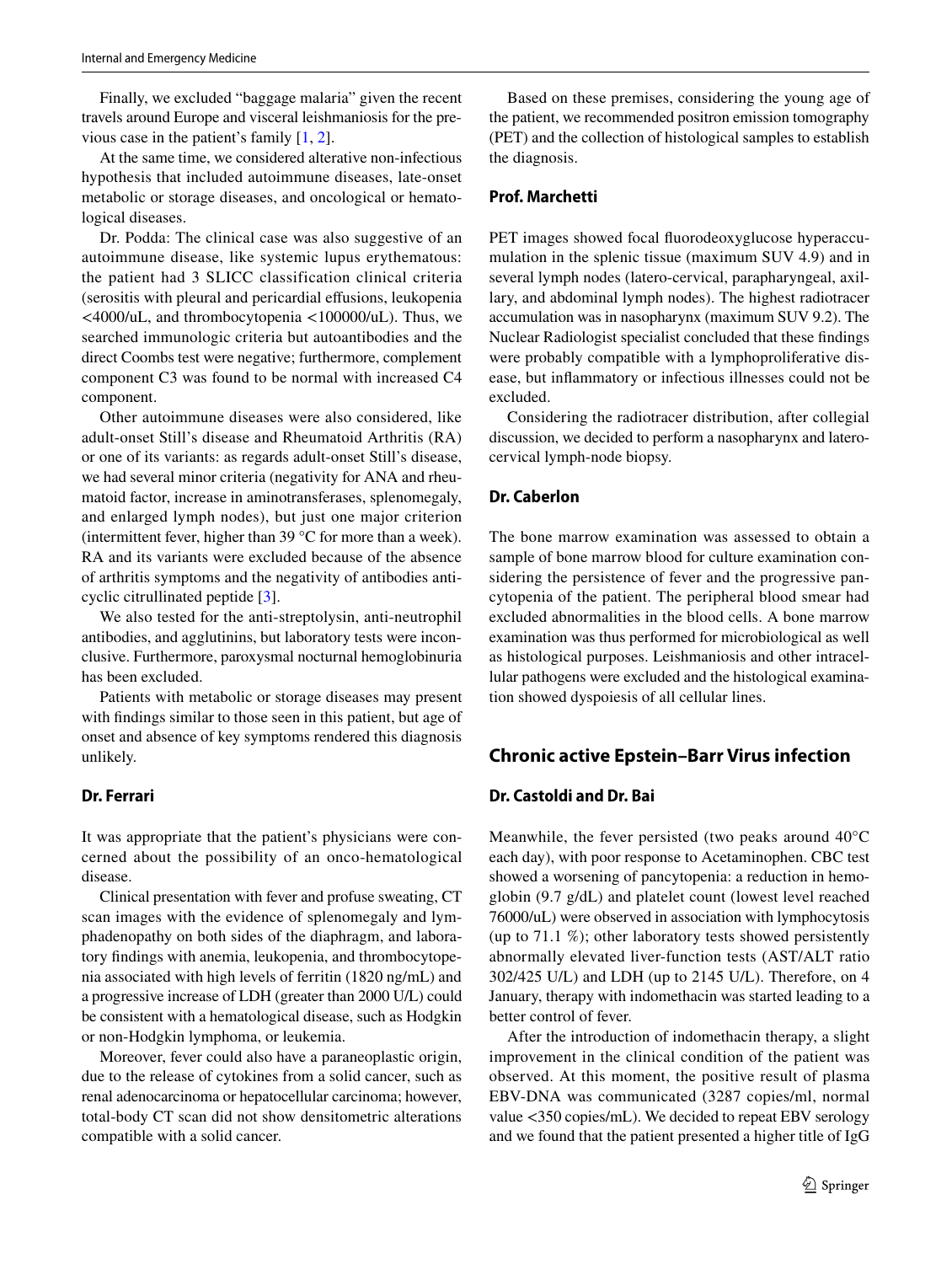Finally, we excluded "baggage malaria" given the recent travels around Europe and visceral leishmaniosis for the previous case in the patient's family [[1,](#page-4-0) [2\]](#page-5-0).

At the same time, we considered alterative non-infectious hypothesis that included autoimmune diseases, late-onset metabolic or storage diseases, and oncological or hematological diseases.

Dr. Podda: The clinical case was also suggestive of an autoimmune disease, like systemic lupus erythematous: the patient had 3 SLICC classification clinical criteria (serositis with pleural and pericardial efusions, leukopenia <4000/uL, and thrombocytopenia <100000/uL). Thus, we searched immunologic criteria but autoantibodies and the direct Coombs test were negative; furthermore, complement component C3 was found to be normal with increased C4 component.

Other autoimmune diseases were also considered, like adult-onset Still's disease and Rheumatoid Arthritis (RA) or one of its variants: as regards adult-onset Still's disease, we had several minor criteria (negativity for ANA and rheumatoid factor, increase in aminotransferases, splenomegaly, and enlarged lymph nodes), but just one major criterion (intermittent fever, higher than 39 °C for more than a week). RA and its variants were excluded because of the absence of arthritis symptoms and the negativity of antibodies anticyclic citrullinated peptide [[3\]](#page-5-1).

We also tested for the anti-streptolysin, anti-neutrophil antibodies, and agglutinins, but laboratory tests were inconclusive. Furthermore, paroxysmal nocturnal hemoglobinuria has been excluded.

Patients with metabolic or storage diseases may present with fndings similar to those seen in this patient, but age of onset and absence of key symptoms rendered this diagnosis unlikely.

#### **Dr. Ferrari**

It was appropriate that the patient's physicians were concerned about the possibility of an onco-hematological disease.

Clinical presentation with fever and profuse sweating, CT scan images with the evidence of splenomegaly and lymphadenopathy on both sides of the diaphragm, and laboratory fndings with anemia, leukopenia, and thrombocytopenia associated with high levels of ferritin (1820 ng/mL) and a progressive increase of LDH (greater than 2000 U/L) could be consistent with a hematological disease, such as Hodgkin or non-Hodgkin lymphoma, or leukemia.

Moreover, fever could also have a paraneoplastic origin, due to the release of cytokines from a solid cancer, such as renal adenocarcinoma or hepatocellular carcinoma; however, total-body CT scan did not show densitometric alterations compatible with a solid cancer.

Based on these premises, considering the young age of the patient, we recommended positron emission tomography (PET) and the collection of histological samples to establish the diagnosis.

#### **Prof. Marchetti**

PET images showed focal fuorodeoxyglucose hyperaccumulation in the splenic tissue (maximum SUV 4.9) and in several lymph nodes (latero-cervical, parapharyngeal, axillary, and abdominal lymph nodes). The highest radiotracer accumulation was in nasopharynx (maximum SUV 9.2). The Nuclear Radiologist specialist concluded that these fndings were probably compatible with a lymphoproliferative disease, but infammatory or infectious illnesses could not be excluded.

Considering the radiotracer distribution, after collegial discussion, we decided to perform a nasopharynx and laterocervical lymph-node biopsy.

## **Dr. Caberlon**

The bone marrow examination was assessed to obtain a sample of bone marrow blood for culture examination considering the persistence of fever and the progressive pancytopenia of the patient. The peripheral blood smear had excluded abnormalities in the blood cells. A bone marrow examination was thus performed for microbiological as well as histological purposes. Leishmaniosis and other intracellular pathogens were excluded and the histological examination showed dyspoiesis of all cellular lines.

## **Chronic active Epstein–Barr Virus infection**

#### **Dr. Castoldi and Dr. Bai**

Meanwhile, the fever persisted (two peaks around 40°C each day), with poor response to Acetaminophen. CBC test showed a worsening of pancytopenia: a reduction in hemoglobin (9.7 g/dL) and platelet count (lowest level reached 76000/uL) were observed in association with lymphocytosis (up to 71.1 %); other laboratory tests showed persistently abnormally elevated liver-function tests (AST/ALT ratio 302/425 U/L) and LDH (up to 2145 U/L). Therefore, on 4 January, therapy with indomethacin was started leading to a better control of fever.

After the introduction of indomethacin therapy, a slight improvement in the clinical condition of the patient was observed. At this moment, the positive result of plasma EBV-DNA was communicated (3287 copies/ml, normal value <350 copies/mL). We decided to repeat EBV serology and we found that the patient presented a higher title of IgG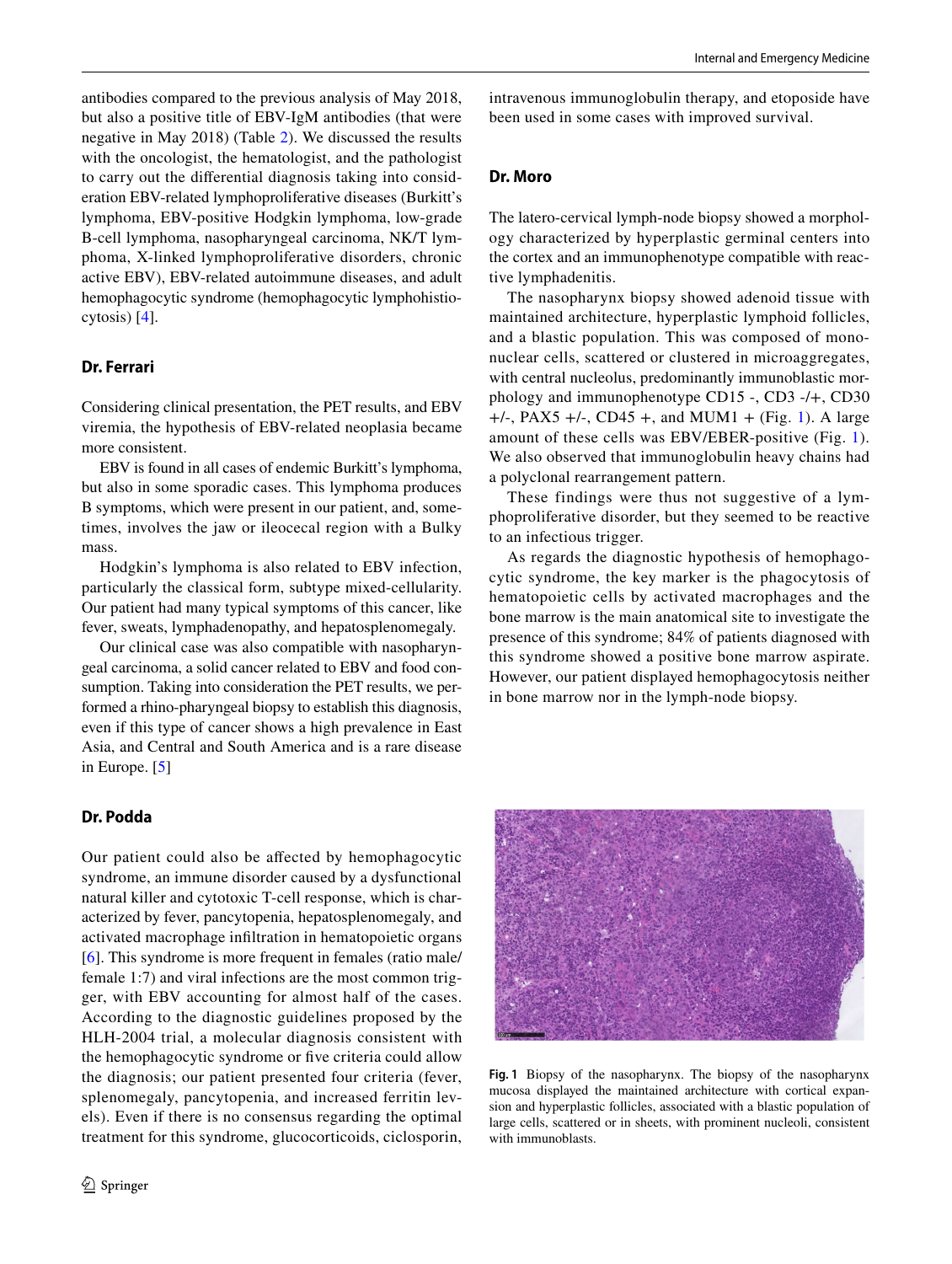antibodies compared to the previous analysis of May 2018, but also a positive title of EBV-IgM antibodies (that were negative in May 2018) (Table [2](#page-1-1)). We discussed the results with the oncologist, the hematologist, and the pathologist to carry out the diferential diagnosis taking into consideration EBV-related lymphoproliferative diseases (Burkitt's lymphoma, EBV-positive Hodgkin lymphoma, low-grade B-cell lymphoma, nasopharyngeal carcinoma, NK/T lymphoma, X-linked lymphoproliferative disorders, chronic active EBV), EBV-related autoimmune diseases, and adult hemophagocytic syndrome (hemophagocytic lymphohistiocytosis) [\[4](#page-5-2)].

## **Dr. Ferrari**

Considering clinical presentation, the PET results, and EBV viremia, the hypothesis of EBV-related neoplasia became more consistent.

EBV is found in all cases of endemic Burkitt's lymphoma, but also in some sporadic cases. This lymphoma produces B symptoms, which were present in our patient, and, sometimes, involves the jaw or ileocecal region with a Bulky mass.

Hodgkin's lymphoma is also related to EBV infection, particularly the classical form, subtype mixed-cellularity. Our patient had many typical symptoms of this cancer, like fever, sweats, lymphadenopathy, and hepatosplenomegaly.

Our clinical case was also compatible with nasopharyngeal carcinoma, a solid cancer related to EBV and food consumption. Taking into consideration the PET results, we performed a rhino-pharyngeal biopsy to establish this diagnosis, even if this type of cancer shows a high prevalence in East Asia, and Central and South America and is a rare disease in Europe. [[5\]](#page-5-3)

## **Dr. Podda**

Our patient could also be afected by hemophagocytic syndrome, an immune disorder caused by a dysfunctional natural killer and cytotoxic T-cell response, which is characterized by fever, pancytopenia, hepatosplenomegaly, and activated macrophage infltration in hematopoietic organs [\[6](#page-5-4)]. This syndrome is more frequent in females (ratio male/ female 1:7) and viral infections are the most common trigger, with EBV accounting for almost half of the cases. According to the diagnostic guidelines proposed by the HLH-2004 trial, a molecular diagnosis consistent with the hemophagocytic syndrome or fve criteria could allow the diagnosis; our patient presented four criteria (fever, splenomegaly, pancytopenia, and increased ferritin levels). Even if there is no consensus regarding the optimal treatment for this syndrome, glucocorticoids, ciclosporin,

intravenous immunoglobulin therapy, and etoposide have been used in some cases with improved survival.

#### **Dr. Moro**

The latero-cervical lymph-node biopsy showed a morphology characterized by hyperplastic germinal centers into the cortex and an immunophenotype compatible with reactive lymphadenitis.

The nasopharynx biopsy showed adenoid tissue with maintained architecture, hyperplastic lymphoid follicles, and a blastic population. This was composed of mononuclear cells, scattered or clustered in microaggregates, with central nucleolus, predominantly immunoblastic morphology and immunophenotype CD15 -, CD3 -/+, CD30  $+/-$ , PAX5  $+/-$ , CD45  $+$ , and MUM[1](#page-3-0)  $+$  (Fig. 1). A large amount of these cells was EBV/EBER-positive (Fig. [1](#page-3-0)). We also observed that immunoglobulin heavy chains had a polyclonal rearrangement pattern.

These findings were thus not suggestive of a lymphoproliferative disorder, but they seemed to be reactive to an infectious trigger.

As regards the diagnostic hypothesis of hemophagocytic syndrome, the key marker is the phagocytosis of hematopoietic cells by activated macrophages and the bone marrow is the main anatomical site to investigate the presence of this syndrome; 84% of patients diagnosed with this syndrome showed a positive bone marrow aspirate. However, our patient displayed hemophagocytosis neither in bone marrow nor in the lymph-node biopsy.

<span id="page-3-0"></span>

**Fig. 1** Biopsy of the nasopharynx. The biopsy of the nasopharynx mucosa displayed the maintained architecture with cortical expansion and hyperplastic follicles, associated with a blastic population of large cells, scattered or in sheets, with prominent nucleoli, consistent with immunoblasts.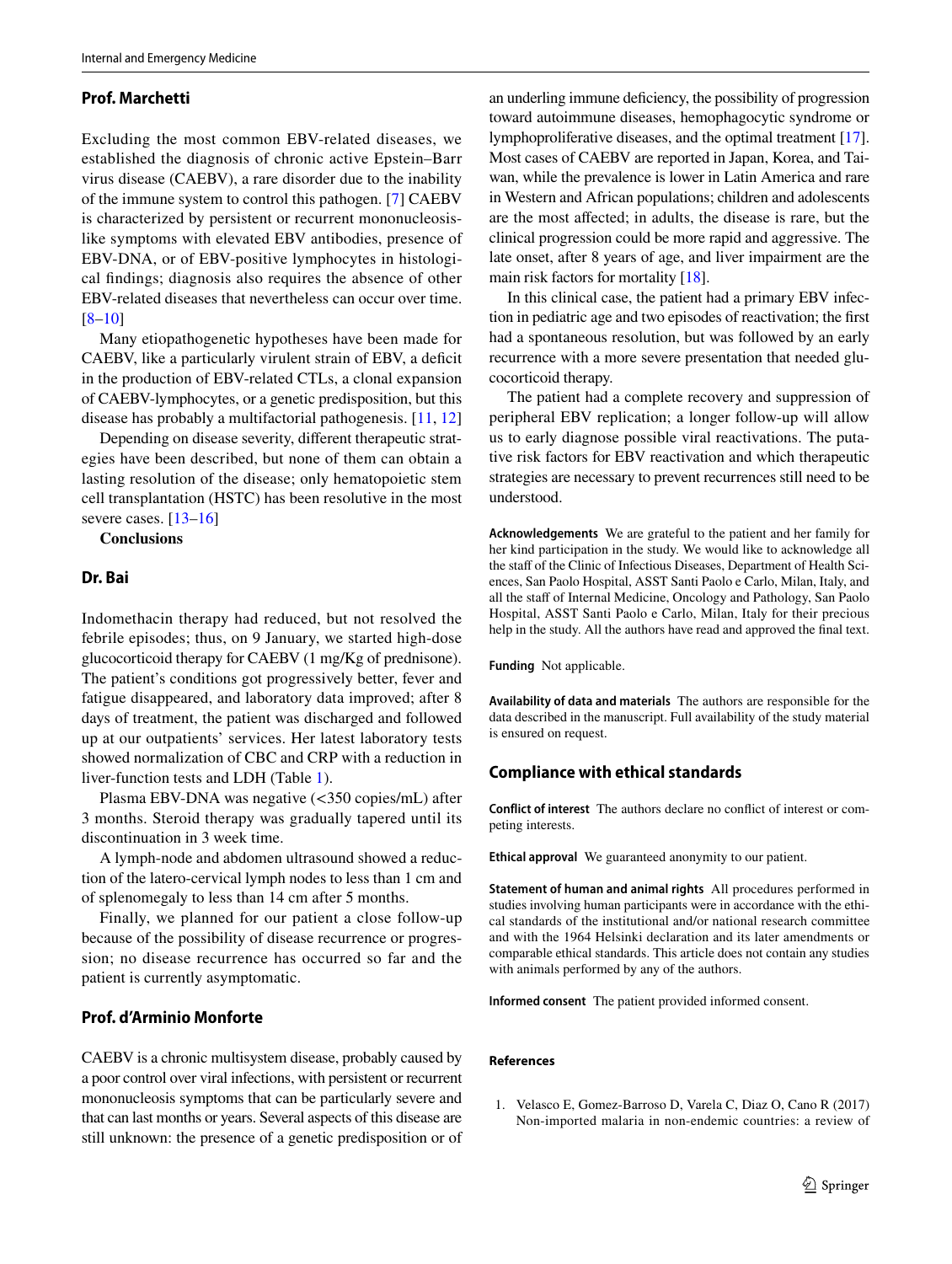#### **Prof. Marchetti**

Excluding the most common EBV-related diseases, we established the diagnosis of chronic active Epstein–Barr virus disease (CAEBV), a rare disorder due to the inability of the immune system to control this pathogen. [[7](#page-5-5)] CAEBV is characterized by persistent or recurrent mononucleosislike symptoms with elevated EBV antibodies, presence of EBV-DNA, or of EBV-positive lymphocytes in histological fndings; diagnosis also requires the absence of other EBV-related diseases that nevertheless can occur over time. [\[8](#page-5-6)–[10\]](#page-5-7)

Many etiopathogenetic hypotheses have been made for CAEBV, like a particularly virulent strain of EBV, a deficit in the production of EBV-related CTLs, a clonal expansion of CAEBV-lymphocytes, or a genetic predisposition, but this disease has probably a multifactorial pathogenesis. [[11,](#page-5-8) [12\]](#page-5-9)

Depending on disease severity, diferent therapeutic strategies have been described, but none of them can obtain a lasting resolution of the disease; only hematopoietic stem cell transplantation (HSTC) has been resolutive in the most severe cases. [[13–](#page-5-10)[16\]](#page-5-11)

#### **Conclusions**

#### **Dr. Bai**

Indomethacin therapy had reduced, but not resolved the febrile episodes; thus, on 9 January, we started high-dose glucocorticoid therapy for CAEBV (1 mg/Kg of prednisone). The patient's conditions got progressively better, fever and fatigue disappeared, and laboratory data improved; after 8 days of treatment, the patient was discharged and followed up at our outpatients' services. Her latest laboratory tests showed normalization of CBC and CRP with a reduction in liver-function tests and LDH (Table [1\)](#page-1-0).

Plasma EBV-DNA was negative (<350 copies/mL) after 3 months. Steroid therapy was gradually tapered until its discontinuation in 3 week time.

A lymph-node and abdomen ultrasound showed a reduction of the latero-cervical lymph nodes to less than 1 cm and of splenomegaly to less than 14 cm after 5 months.

Finally, we planned for our patient a close follow-up because of the possibility of disease recurrence or progression; no disease recurrence has occurred so far and the patient is currently asymptomatic.

## **Prof. d'Arminio Monforte**

CAEBV is a chronic multisystem disease, probably caused by a poor control over viral infections, with persistent or recurrent mononucleosis symptoms that can be particularly severe and that can last months or years. Several aspects of this disease are still unknown: the presence of a genetic predisposition or of

an underling immune defciency, the possibility of progression toward autoimmune diseases, hemophagocytic syndrome or lymphoproliferative diseases, and the optimal treatment [[17\]](#page-5-12). Most cases of CAEBV are reported in Japan, Korea, and Taiwan, while the prevalence is lower in Latin America and rare in Western and African populations; children and adolescents are the most afected; in adults, the disease is rare, but the clinical progression could be more rapid and aggressive. The late onset, after 8 years of age, and liver impairment are the main risk factors for mortality [[18\]](#page-5-13).

In this clinical case, the patient had a primary EBV infection in pediatric age and two episodes of reactivation; the frst had a spontaneous resolution, but was followed by an early recurrence with a more severe presentation that needed glucocorticoid therapy.

The patient had a complete recovery and suppression of peripheral EBV replication; a longer follow-up will allow us to early diagnose possible viral reactivations. The putative risk factors for EBV reactivation and which therapeutic strategies are necessary to prevent recurrences still need to be understood.

**Acknowledgements** We are grateful to the patient and her family for her kind participation in the study. We would like to acknowledge all the staff of the Clinic of Infectious Diseases, Department of Health Sciences, San Paolo Hospital, ASST Santi Paolo e Carlo, Milan, Italy, and all the staff of Internal Medicine, Oncology and Pathology, San Paolo Hospital, ASST Santi Paolo e Carlo, Milan, Italy for their precious help in the study. All the authors have read and approved the fnal text.

**Funding** Not applicable.

**Availability of data and materials** The authors are responsible for the data described in the manuscript. Full availability of the study material is ensured on request.

#### **Compliance with ethical standards**

**Conflict of interest** The authors declare no confict of interest or competing interests.

**Ethical approval** We guaranteed anonymity to our patient.

**Statement of human and animal rights** All procedures performed in studies involving human participants were in accordance with the ethical standards of the institutional and/or national research committee and with the 1964 Helsinki declaration and its later amendments or comparable ethical standards. This article does not contain any studies with animals performed by any of the authors.

**Informed consent** The patient provided informed consent.

#### **References**

<span id="page-4-0"></span>1. Velasco E, Gomez-Barroso D, Varela C, Diaz O, Cano R (2017) Non-imported malaria in non-endemic countries: a review of